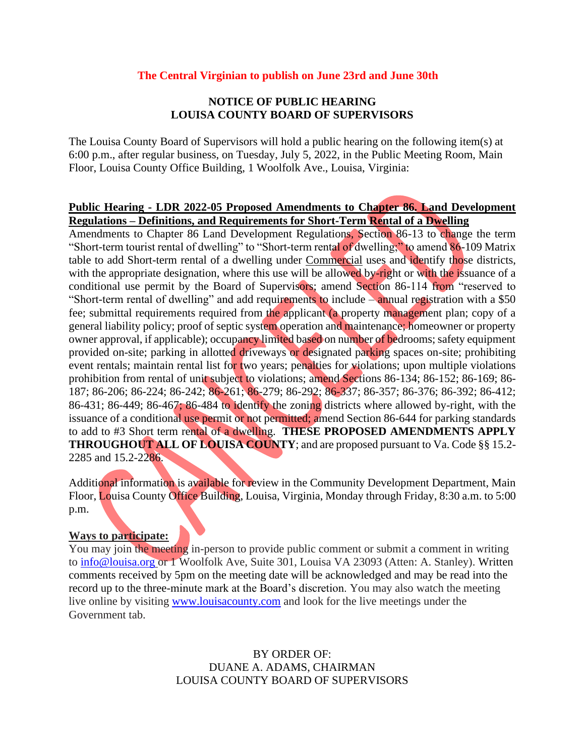#### **The Central Virginian to publish on June 23rd and June 30th**

### **NOTICE OF PUBLIC HEARING LOUISA COUNTY BOARD OF SUPERVISORS**

The Louisa County Board of Supervisors will hold a public hearing on the following item(s) at 6:00 p.m., after regular business, on Tuesday, July 5, 2022, in the Public Meeting Room, Main Floor, Louisa County Office Building, 1 Woolfolk Ave., Louisa, Virginia:

#### **Public Hearing - LDR 2022-05 Proposed Amendments to Chapter 86. Land Development Regulations – Definitions, and Requirements for Short-Term Rental of a Dwelling**

Amendments to Chapter 86 Land Development Regulations, Section 86-13 to change the term "Short-term tourist rental of dwelling" to "Short-term rental of dwelling;" to amend 86-109 Matrix table to add Short-term rental of a dwelling under Commercial uses and identify those districts, with the appropriate designation, where this use will be allowed by-right or with the issuance of a conditional use permit by the Board of Supervisors; amend Section 86-114 from "reserved to "Short-term rental of dwelling" and add requirements to include – annual registration with a \$50 fee; submittal requirements required from the applicant (a property management plan; copy of a general liability policy; proof of septic system operation and maintenance; homeowner or property owner approval, if applicable); occupancy limited based on number of bedrooms; safety equipment provided on-site; parking in allotted driveways or designated parking spaces on-site; prohibiting event rentals; maintain rental list for two years; penalties for violations; upon multiple violations prohibition from rental of unit subject to violations; amend Sections 86-134; 86-152; 86-169; 86- 187; 86-206; 86-224; 86-242; 86-261; 86-279; 86-292; 86-337; 86-357; 86-376; 86-392; 86-412; 86-431; 86-449; 86-467; 86-484 to identify the zoning districts where allowed by-right, with the issuance of a conditional use permit or not permitted; amend Section 86-644 for parking standards to add to #3 Short term rental of a dwelling. **THESE PROPOSED AMENDMENTS APPLY THROUGHOUT ALL OF LOUISA COUNTY**; and are proposed pursuant to Va. Code §§ 15.2-2285 and 15.2-2286.

Additional information is available for review in the Community Development Department, Main Floor, Louisa County Office Building, Louisa, Virginia, Monday through Friday, 8:30 a.m. to 5:00 p.m.

## **Ways to participate:**

You may join the meeting in-person to provide public comment or submit a comment in writing to [info@louisa.org](mailto:info@louisa.org) or 1 Woolfolk Ave, Suite 301, Louisa VA 23093 (Atten: A. Stanley). Written comments received by 5pm on the meeting date will be acknowledged and may be read into the record up to the three-minute mark at the Board's discretion. You may also watch the meeting live online by visiting [www.louisacounty.com](http://www.louisacounty.com/) and look for the live meetings under the Government tab.

> BY ORDER OF: DUANE A. ADAMS, CHAIRMAN LOUISA COUNTY BOARD OF SUPERVISORS